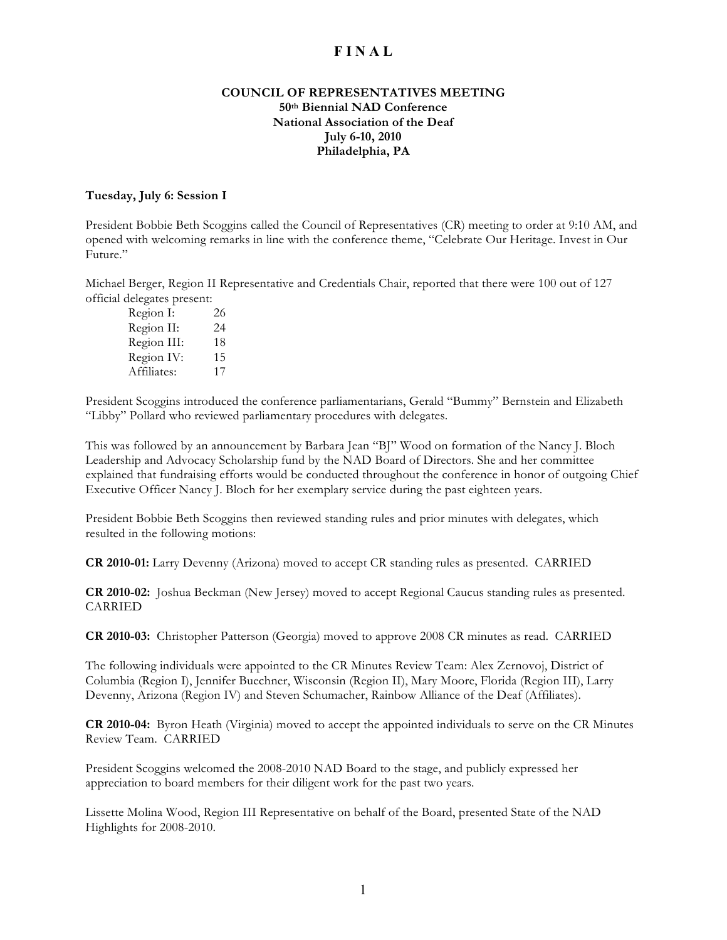## **COUNCIL OF REPRESENTATIVES MEETING 50th Biennial NAD Conference National Association of the Deaf July 6-10, 2010 Philadelphia, PA**

#### **Tuesday, July 6: Session I**

President Bobbie Beth Scoggins called the Council of Representatives (CR) meeting to order at 9:10 AM, and opened with welcoming remarks in line with the conference theme, "Celebrate Our Heritage. Invest in Our Future."

Michael Berger, Region II Representative and Credentials Chair, reported that there were 100 out of 127 official delegates present:

| Region I:   | 26 |
|-------------|----|
| Region II:  | 24 |
| Region III: | 18 |
| Region IV:  | 15 |
| Affiliates: | 17 |

President Scoggins introduced the conference parliamentarians, Gerald "Bummy" Bernstein and Elizabeth "Libby" Pollard who reviewed parliamentary procedures with delegates.

This was followed by an announcement by Barbara Jean "BJ" Wood on formation of the Nancy J. Bloch Leadership and Advocacy Scholarship fund by the NAD Board of Directors. She and her committee explained that fundraising efforts would be conducted throughout the conference in honor of outgoing Chief Executive Officer Nancy J. Bloch for her exemplary service during the past eighteen years.

President Bobbie Beth Scoggins then reviewed standing rules and prior minutes with delegates, which resulted in the following motions:

**CR 2010-01:** Larry Devenny (Arizona) moved to accept CR standing rules as presented. CARRIED

**CR 2010-02:** Joshua Beckman (New Jersey) moved to accept Regional Caucus standing rules as presented. CARRIED

**CR 2010-03:** Christopher Patterson (Georgia) moved to approve 2008 CR minutes as read. CARRIED

The following individuals were appointed to the CR Minutes Review Team: Alex Zernovoj, District of Columbia (Region I), Jennifer Buechner, Wisconsin (Region II), Mary Moore, Florida (Region III), Larry Devenny, Arizona (Region IV) and Steven Schumacher, Rainbow Alliance of the Deaf (Affiliates).

**CR 2010-04:** Byron Heath (Virginia) moved to accept the appointed individuals to serve on the CR Minutes Review Team. CARRIED

President Scoggins welcomed the 2008-2010 NAD Board to the stage, and publicly expressed her appreciation to board members for their diligent work for the past two years.

Lissette Molina Wood, Region III Representative on behalf of the Board, presented State of the NAD Highlights for 2008-2010.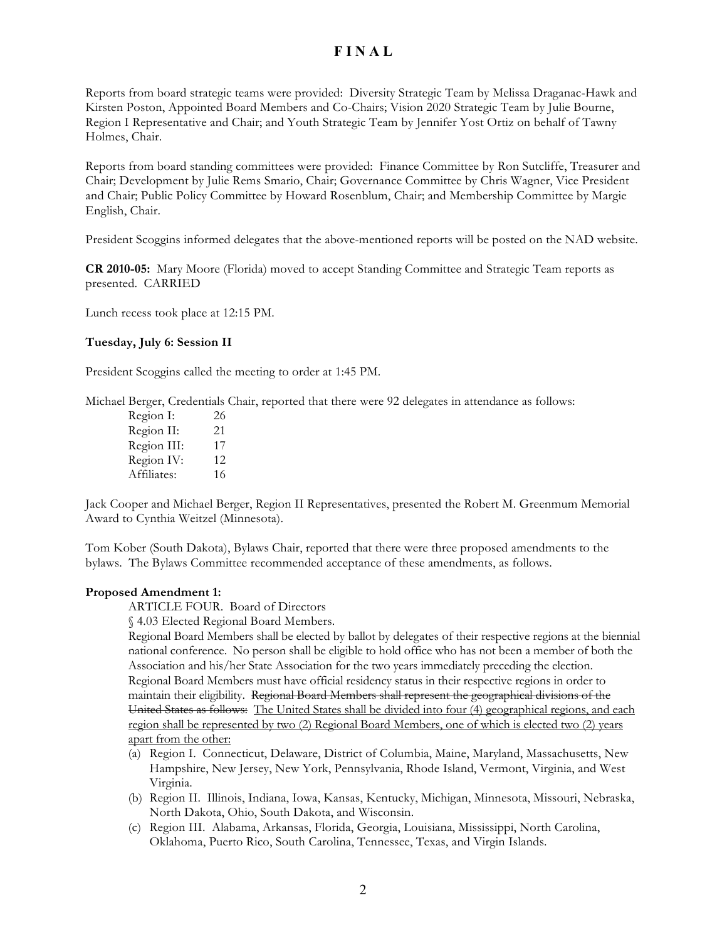Reports from board strategic teams were provided: Diversity Strategic Team by Melissa Draganac-Hawk and Kirsten Poston, Appointed Board Members and Co-Chairs; Vision 2020 Strategic Team by Julie Bourne, Region I Representative and Chair; and Youth Strategic Team by Jennifer Yost Ortiz on behalf of Tawny Holmes, Chair.

Reports from board standing committees were provided: Finance Committee by Ron Sutcliffe, Treasurer and Chair; Development by Julie Rems Smario, Chair; Governance Committee by Chris Wagner, Vice President and Chair; Public Policy Committee by Howard Rosenblum, Chair; and Membership Committee by Margie English, Chair.

President Scoggins informed delegates that the above-mentioned reports will be posted on the NAD website.

**CR 2010-05:** Mary Moore (Florida) moved to accept Standing Committee and Strategic Team reports as presented. CARRIED

Lunch recess took place at 12:15 PM.

#### **Tuesday, July 6: Session II**

President Scoggins called the meeting to order at 1:45 PM.

Michael Berger, Credentials Chair, reported that there were 92 delegates in attendance as follows:

| Region I:   | 26  |
|-------------|-----|
| Region II:  | 21  |
| Region III: | 17  |
| Region IV:  | 12. |
| Affiliates: | 16  |

Jack Cooper and Michael Berger, Region II Representatives, presented the Robert M. Greenmum Memorial Award to Cynthia Weitzel (Minnesota).

Tom Kober (South Dakota), Bylaws Chair, reported that there were three proposed amendments to the bylaws. The Bylaws Committee recommended acceptance of these amendments, as follows.

#### **Proposed Amendment 1:**

ARTICLE FOUR. Board of Directors

§ 4.03 Elected Regional Board Members.

Regional Board Members shall be elected by ballot by delegates of their respective regions at the biennial national conference. No person shall be eligible to hold office who has not been a member of both the Association and his/her State Association for the two years immediately preceding the election. Regional Board Members must have official residency status in their respective regions in order to maintain their eligibility. Regional Board Members shall represent the geographical divisions of the United States as follows: The United States shall be divided into four (4) geographical regions, and each region shall be represented by two (2) Regional Board Members, one of which is elected two (2) years apart from the other:

- (a) Region I. Connecticut, Delaware, District of Columbia, Maine, Maryland, Massachusetts, New Hampshire, New Jersey, New York, Pennsylvania, Rhode Island, Vermont, Virginia, and West Virginia.
- (b) Region II. Illinois, Indiana, Iowa, Kansas, Kentucky, Michigan, Minnesota, Missouri, Nebraska, North Dakota, Ohio, South Dakota, and Wisconsin.
- (c) Region III. Alabama, Arkansas, Florida, Georgia, Louisiana, Mississippi, North Carolina, Oklahoma, Puerto Rico, South Carolina, Tennessee, Texas, and Virgin Islands.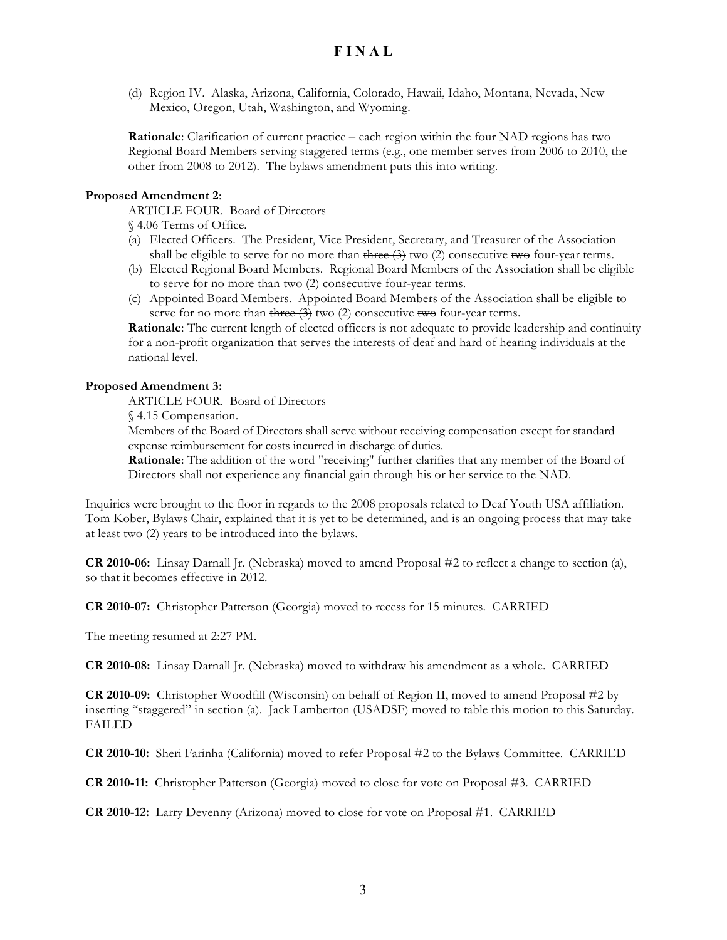(d) Region IV. Alaska, Arizona, California, Colorado, Hawaii, Idaho, Montana, Nevada, New Mexico, Oregon, Utah, Washington, and Wyoming.

**Rationale**: Clarification of current practice – each region within the four NAD regions has two Regional Board Members serving staggered terms (e.g., one member serves from 2006 to 2010, the other from 2008 to 2012). The bylaws amendment puts this into writing.

#### **Proposed Amendment 2**:

ARTICLE FOUR. Board of Directors

§ 4.06 Terms of Office.

- (a) Elected Officers. The President, Vice President, Secretary, and Treasurer of the Association shall be eligible to serve for no more than three  $\left(\frac{3}{2}\right)$  two  $\left(\frac{2}{2}\right)$  consecutive two four-year terms.
- (b) Elected Regional Board Members. Regional Board Members of the Association shall be eligible to serve for no more than two (2) consecutive four-year terms.
- (c) Appointed Board Members. Appointed Board Members of the Association shall be eligible to serve for no more than three  $(3)$  two  $(2)$  consecutive two four-year terms.

**Rationale**: The current length of elected officers is not adequate to provide leadership and continuity for a non-profit organization that serves the interests of deaf and hard of hearing individuals at the national level.

#### **Proposed Amendment 3:**

ARTICLE FOUR. Board of Directors

§ 4.15 Compensation.

Members of the Board of Directors shall serve without receiving compensation except for standard expense reimbursement for costs incurred in discharge of duties.

**Rationale**: The addition of the word "receiving" further clarifies that any member of the Board of Directors shall not experience any financial gain through his or her service to the NAD.

Inquiries were brought to the floor in regards to the 2008 proposals related to Deaf Youth USA affiliation. Tom Kober, Bylaws Chair, explained that it is yet to be determined, and is an ongoing process that may take at least two (2) years to be introduced into the bylaws.

**CR 2010-06:** Linsay Darnall Jr. (Nebraska) moved to amend Proposal #2 to reflect a change to section (a), so that it becomes effective in 2012.

**CR 2010-07:** Christopher Patterson (Georgia) moved to recess for 15 minutes. CARRIED

The meeting resumed at 2:27 PM.

**CR 2010-08:** Linsay Darnall Jr. (Nebraska) moved to withdraw his amendment as a whole. CARRIED

**CR 2010-09:** Christopher Woodfill (Wisconsin) on behalf of Region II, moved to amend Proposal #2 by inserting "staggered" in section (a). Jack Lamberton (USADSF) moved to table this motion to this Saturday. FAILED

**CR 2010-10:** Sheri Farinha (California) moved to refer Proposal #2 to the Bylaws Committee. CARRIED

**CR 2010-11:** Christopher Patterson (Georgia) moved to close for vote on Proposal #3. CARRIED

**CR 2010-12:** Larry Devenny (Arizona) moved to close for vote on Proposal #1. CARRIED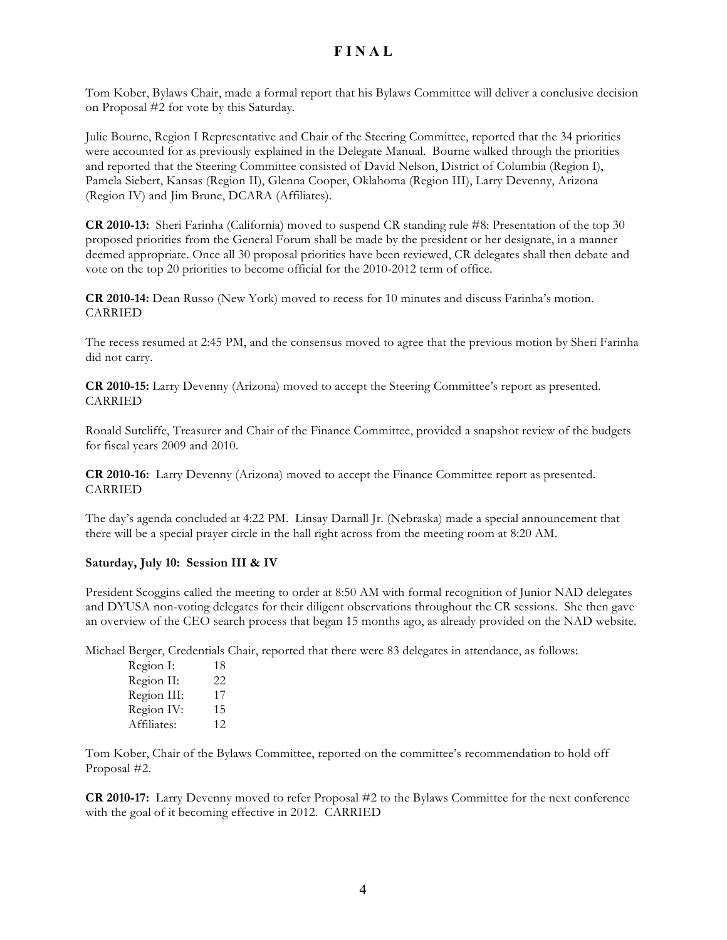Tom Kober, Bylaws Chair, made a formal report that his Bylaws Committee will deliver a conclusive decision on Proposal #2 for vote by this Saturday.

Julie Bourne, Region I Representative and Chair of the Steering Committee, reported that the 34 priorities were accounted for as previously explained in the Delegate Manual. Bourne walked through the priorities and reported that the Steering Committee consisted of David Nelson, District of Columbia (Region I), Pamela Siebert, Kansas (Region II), Glenna Cooper, Oklahoma (Region III), Larry Devenny, Arizona (Region IV) and Jim Brune, DCARA (Affiliates).

**CR 2010-13:** Sheri Farinha (California) moved to suspend CR standing rule #8: Presentation of the top 30 proposed priorities from the General Forum shall be made by the president or her designate, in a manner deemed appropriate. Once all 30 proposal priorities have been reviewed, CR delegates shall then debate and vote on the top 20 priorities to become official for the 2010-2012 term of office.

**CR 2010-14:** Dean Russo (New York) moved to recess for 10 minutes and discuss Farinha's motion. CARRIED

The recess resumed at 2:45 PM, and the consensus moved to agree that the previous motion by Sheri Farinha did not carry.

**CR 2010-15:** Larry Devenny (Arizona) moved to accept the Steering Committee's report as presented. CARRIED

Ronald Sutcliffe, Treasurer and Chair of the Finance Committee, provided a snapshot review of the budgets for fiscal years 2009 and 2010.

**CR 2010-16:** Larry Devenny (Arizona) moved to accept the Finance Committee report as presented. CARRIED

The day's agenda concluded at 4:22 PM. Linsay Darnall Jr. (Nebraska) made a special announcement that there will be a special prayer circle in the hall right across from the meeting room at 8:20 AM.

#### **Saturday, July 10: Session III & IV**

President Scoggins called the meeting to order at 8:50 AM with formal recognition of Junior NAD delegates and DYUSA non-voting delegates for their diligent observations throughout the CR sessions. She then gave an overview of the CEO search process that began 15 months ago, as already provided on the NAD website.

Michael Berger, Credentials Chair, reported that there were 83 delegates in attendance, as follows:

| Region II:<br>22 |    |
|------------------|----|
| Region III:      | 17 |
| Region IV:       | 15 |
| Affiliates:      | 12 |

Tom Kober, Chair of the Bylaws Committee, reported on the committee's recommendation to hold off Proposal #2.

**CR 2010-17:** Larry Devenny moved to refer Proposal #2 to the Bylaws Committee for the next conference with the goal of it becoming effective in 2012. CARRIED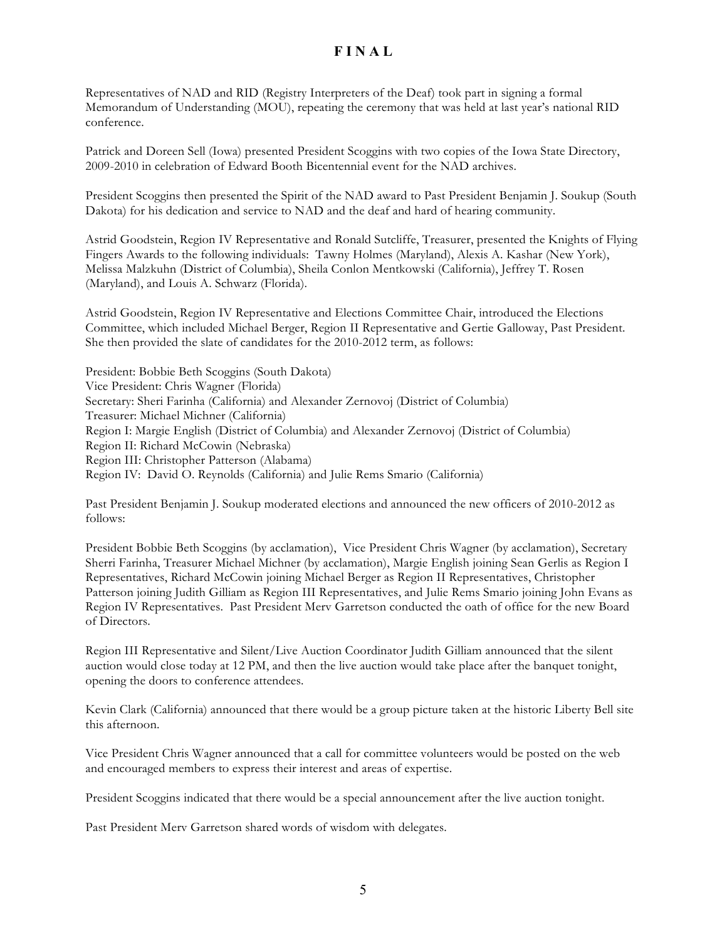Representatives of NAD and RID (Registry Interpreters of the Deaf) took part in signing a formal Memorandum of Understanding (MOU), repeating the ceremony that was held at last year's national RID conference.

Patrick and Doreen Sell (Iowa) presented President Scoggins with two copies of the Iowa State Directory, 2009-2010 in celebration of Edward Booth Bicentennial event for the NAD archives.

President Scoggins then presented the Spirit of the NAD award to Past President Benjamin J. Soukup (South Dakota) for his dedication and service to NAD and the deaf and hard of hearing community.

Astrid Goodstein, Region IV Representative and Ronald Sutcliffe, Treasurer, presented the Knights of Flying Fingers Awards to the following individuals: Tawny Holmes (Maryland), Alexis A. Kashar (New York), Melissa Malzkuhn (District of Columbia), Sheila Conlon Mentkowski (California), Jeffrey T. Rosen (Maryland), and Louis A. Schwarz (Florida).

Astrid Goodstein, Region IV Representative and Elections Committee Chair, introduced the Elections Committee, which included Michael Berger, Region II Representative and Gertie Galloway, Past President. She then provided the slate of candidates for the 2010-2012 term, as follows:

President: Bobbie Beth Scoggins (South Dakota) Vice President: Chris Wagner (Florida) Secretary: Sheri Farinha (California) and Alexander Zernovoj (District of Columbia) Treasurer: Michael Michner (California) Region I: Margie English (District of Columbia) and Alexander Zernovoj (District of Columbia) Region II: Richard McCowin (Nebraska) Region III: Christopher Patterson (Alabama) Region IV: David O. Reynolds (California) and Julie Rems Smario (California)

Past President Benjamin J. Soukup moderated elections and announced the new officers of 2010-2012 as follows:

President Bobbie Beth Scoggins (by acclamation), Vice President Chris Wagner (by acclamation), Secretary Sherri Farinha, Treasurer Michael Michner (by acclamation), Margie English joining Sean Gerlis as Region I Representatives, Richard McCowin joining Michael Berger as Region II Representatives, Christopher Patterson joining Judith Gilliam as Region III Representatives, and Julie Rems Smario joining John Evans as Region IV Representatives. Past President Merv Garretson conducted the oath of office for the new Board of Directors.

Region III Representative and Silent/Live Auction Coordinator Judith Gilliam announced that the silent auction would close today at 12 PM, and then the live auction would take place after the banquet tonight, opening the doors to conference attendees.

Kevin Clark (California) announced that there would be a group picture taken at the historic Liberty Bell site this afternoon.

Vice President Chris Wagner announced that a call for committee volunteers would be posted on the web and encouraged members to express their interest and areas of expertise.

President Scoggins indicated that there would be a special announcement after the live auction tonight.

Past President Merv Garretson shared words of wisdom with delegates.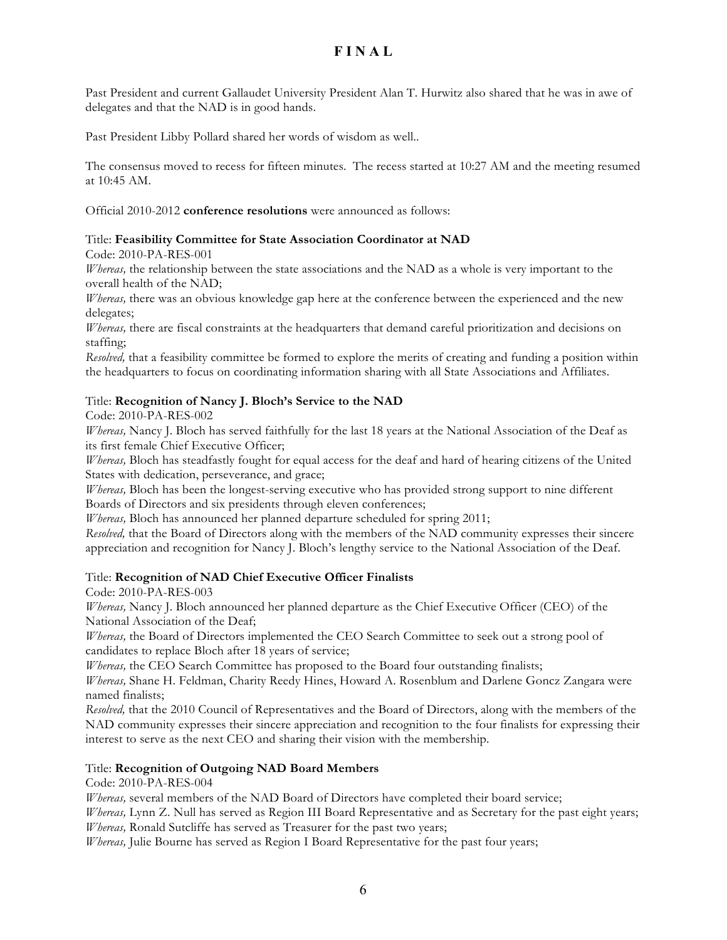Past President and current Gallaudet University President Alan T. Hurwitz also shared that he was in awe of delegates and that the NAD is in good hands.

Past President Libby Pollard shared her words of wisdom as well..

The consensus moved to recess for fifteen minutes. The recess started at 10:27 AM and the meeting resumed at 10:45 AM.

Official 2010-2012 **conference resolutions** were announced as follows:

#### Title: **Feasibility Committee for State Association Coordinator at NAD**

Code: 2010-PA-RES-001

*Whereas,* the relationship between the state associations and the NAD as a whole is very important to the overall health of the NAD;

*Whereas,* there was an obvious knowledge gap here at the conference between the experienced and the new delegates;

*Whereas,* there are fiscal constraints at the headquarters that demand careful prioritization and decisions on staffing;

*Resolved,* that a feasibility committee be formed to explore the merits of creating and funding a position within the headquarters to focus on coordinating information sharing with all State Associations and Affiliates.

#### Title: **Recognition of Nancy J. Bloch's Service to the NAD**

Code: 2010-PA-RES-002

*Whereas,* Nancy J. Bloch has served faithfully for the last 18 years at the National Association of the Deaf as its first female Chief Executive Officer;

*Whereas,* Bloch has steadfastly fought for equal access for the deaf and hard of hearing citizens of the United States with dedication, perseverance, and grace;

*Whereas,* Bloch has been the longest-serving executive who has provided strong support to nine different Boards of Directors and six presidents through eleven conferences;

*Whereas,* Bloch has announced her planned departure scheduled for spring 2011;

*Resolved,* that the Board of Directors along with the members of the NAD community expresses their sincere appreciation and recognition for Nancy J. Bloch's lengthy service to the National Association of the Deaf.

## Title: **Recognition of NAD Chief Executive Officer Finalists**

Code: 2010-PA-RES-003

*Whereas,* Nancy J. Bloch announced her planned departure as the Chief Executive Officer (CEO) of the National Association of the Deaf;

*Whereas,* the Board of Directors implemented the CEO Search Committee to seek out a strong pool of candidates to replace Bloch after 18 years of service;

*Whereas,* the CEO Search Committee has proposed to the Board four outstanding finalists;

*Whereas,* Shane H. Feldman, Charity Reedy Hines, Howard A. Rosenblum and Darlene Goncz Zangara were named finalists;

*Resolved,* that the 2010 Council of Representatives and the Board of Directors, along with the members of the NAD community expresses their sincere appreciation and recognition to the four finalists for expressing their interest to serve as the next CEO and sharing their vision with the membership.

## Title: **Recognition of Outgoing NAD Board Members**

Code: 2010-PA-RES-004

*Whereas,* several members of the NAD Board of Directors have completed their board service;

*Whereas,* Lynn Z. Null has served as Region III Board Representative and as Secretary for the past eight years; *Whereas,* Ronald Sutcliffe has served as Treasurer for the past two years;

*Whereas,* Julie Bourne has served as Region I Board Representative for the past four years;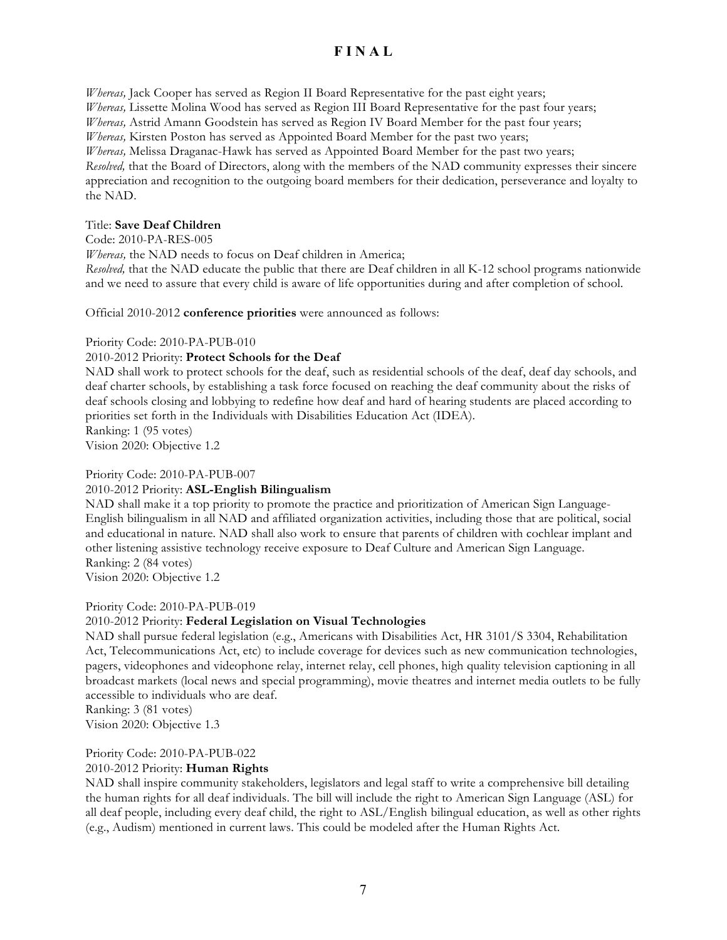*Whereas,* Jack Cooper has served as Region II Board Representative for the past eight years; *Whereas,* Lissette Molina Wood has served as Region III Board Representative for the past four years; *Whereas,* Astrid Amann Goodstein has served as Region IV Board Member for the past four years; *Whereas,* Kirsten Poston has served as Appointed Board Member for the past two years; *Whereas,* Melissa Draganac-Hawk has served as Appointed Board Member for the past two years; *Resolved,* that the Board of Directors, along with the members of the NAD community expresses their sincere appreciation and recognition to the outgoing board members for their dedication, perseverance and loyalty to the NAD.

#### Title: **Save Deaf Children**

Code: 2010-PA-RES-005

*Whereas,* the NAD needs to focus on Deaf children in America;

*Resolved,* that the NAD educate the public that there are Deaf children in all K-12 school programs nationwide and we need to assure that every child is aware of life opportunities during and after completion of school.

Official 2010-2012 **conference priorities** were announced as follows:

Priority Code: 2010-PA-PUB-010

#### 2010-2012 Priority: **Protect Schools for the Deaf**

NAD shall work to protect schools for the deaf, such as residential schools of the deaf, deaf day schools, and deaf charter schools, by establishing a task force focused on reaching the deaf community about the risks of deaf schools closing and lobbying to redefine how deaf and hard of hearing students are placed according to priorities set forth in the Individuals with Disabilities Education Act (IDEA).

Ranking: 1 (95 votes) Vision 2020: Objective 1.2

#### Priority Code: 2010-PA-PUB-007

## 2010-2012 Priority: **ASL-English Bilingualism**

NAD shall make it a top priority to promote the practice and prioritization of American Sign Language-English bilingualism in all NAD and affiliated organization activities, including those that are political, social and educational in nature. NAD shall also work to ensure that parents of children with cochlear implant and other listening assistive technology receive exposure to Deaf Culture and American Sign Language. Ranking: 2 (84 votes)

Vision 2020: Objective 1.2

## Priority Code: 2010-PA-PUB-019

## 2010-2012 Priority: **Federal Legislation on Visual Technologies**

NAD shall pursue federal legislation (e.g., Americans with Disabilities Act, HR 3101/S 3304, Rehabilitation Act, Telecommunications Act, etc) to include coverage for devices such as new communication technologies, pagers, videophones and videophone relay, internet relay, cell phones, high quality television captioning in all broadcast markets (local news and special programming), movie theatres and internet media outlets to be fully accessible to individuals who are deaf.

Ranking: 3 (81 votes) Vision 2020: Objective 1.3

## Priority Code: 2010-PA-PUB-022

## 2010-2012 Priority: **Human Rights**

NAD shall inspire community stakeholders, legislators and legal staff to write a comprehensive bill detailing the human rights for all deaf individuals. The bill will include the right to American Sign Language (ASL) for all deaf people, including every deaf child, the right to ASL/English bilingual education, as well as other rights (e.g., Audism) mentioned in current laws. This could be modeled after the Human Rights Act.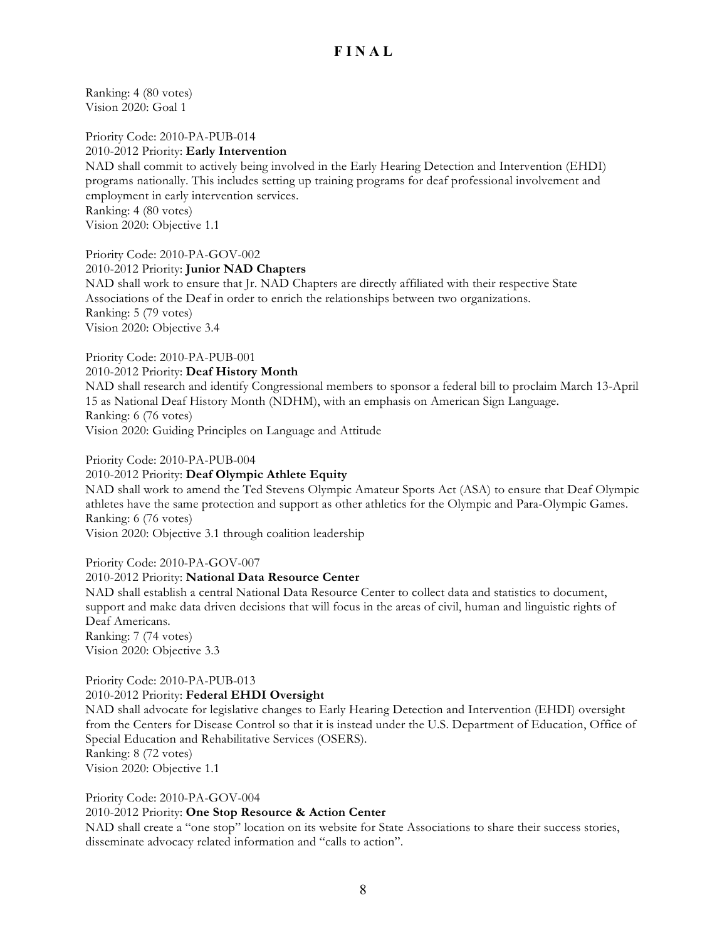Ranking: 4 (80 votes) Vision 2020: Goal 1

Priority Code: 2010-PA-PUB-014 2010-2012 Priority: **Early Intervention** NAD shall commit to actively being involved in the Early Hearing Detection and Intervention (EHDI) programs nationally. This includes setting up training programs for deaf professional involvement and employment in early intervention services. Ranking: 4 (80 votes) Vision 2020: Objective 1.1

Priority Code: 2010-PA-GOV-002 2010-2012 Priority: **Junior NAD Chapters** NAD shall work to ensure that Jr. NAD Chapters are directly affiliated with their respective State Associations of the Deaf in order to enrich the relationships between two organizations. Ranking: 5 (79 votes) Vision 2020: Objective 3.4

#### Priority Code: 2010-PA-PUB-001 2010-2012 Priority: **Deaf History Month** NAD shall research and identify Congressional members to sponsor a federal bill to proclaim March 13-April 15 as National Deaf History Month (NDHM), with an emphasis on American Sign Language. Ranking: 6 (76 votes) Vision 2020: Guiding Principles on Language and Attitude

Priority Code: 2010-PA-PUB-004

#### 2010-2012 Priority: **Deaf Olympic Athlete Equity**

NAD shall work to amend the Ted Stevens Olympic Amateur Sports Act (ASA) to ensure that Deaf Olympic athletes have the same protection and support as other athletics for the Olympic and Para-Olympic Games. Ranking: 6 (76 votes)

Vision 2020: Objective 3.1 through coalition leadership

Priority Code: 2010-PA-GOV-007

#### 2010-2012 Priority: **National Data Resource Center**

NAD shall establish a central National Data Resource Center to collect data and statistics to document, support and make data driven decisions that will focus in the areas of civil, human and linguistic rights of Deaf Americans. Ranking: 7 (74 votes) Vision 2020: Objective 3.3

# Priority Code: 2010-PA-PUB-013

2010-2012 Priority: **Federal EHDI Oversight**

NAD shall advocate for legislative changes to Early Hearing Detection and Intervention (EHDI) oversight from the Centers for Disease Control so that it is instead under the U.S. Department of Education, Office of Special Education and Rehabilitative Services (OSERS). Ranking: 8 (72 votes)

Vision 2020: Objective 1.1

Priority Code: 2010-PA-GOV-004

#### 2010-2012 Priority: **One Stop Resource & Action Center**

NAD shall create a "one stop" location on its website for State Associations to share their success stories, disseminate advocacy related information and "calls to action".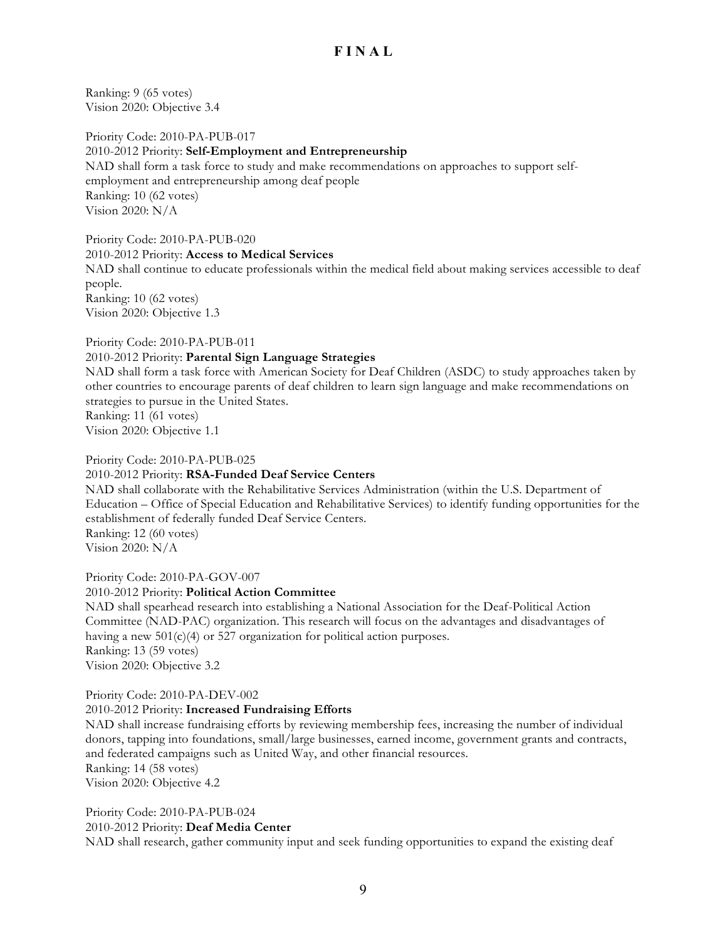Ranking: 9 (65 votes) Vision 2020: Objective 3.4

Priority Code: 2010-PA-PUB-017 2010-2012 Priority: **Self-Employment and Entrepreneurship** NAD shall form a task force to study and make recommendations on approaches to support selfemployment and entrepreneurship among deaf people Ranking: 10 (62 votes) Vision 2020: N/A

Priority Code: 2010-PA-PUB-020 2010-2012 Priority: **Access to Medical Services** NAD shall continue to educate professionals within the medical field about making services accessible to deaf people. Ranking: 10 (62 votes) Vision 2020: Objective 1.3

Priority Code: 2010-PA-PUB-011

#### 2010-2012 Priority: **Parental Sign Language Strategies**

NAD shall form a task force with American Society for Deaf Children (ASDC) to study approaches taken by other countries to encourage parents of deaf children to learn sign language and make recommendations on strategies to pursue in the United States.

Ranking: 11 (61 votes) Vision 2020: Objective 1.1

#### Priority Code: 2010-PA-PUB-025

#### 2010-2012 Priority: **RSA-Funded Deaf Service Centers**

NAD shall collaborate with the Rehabilitative Services Administration (within the U.S. Department of Education – Office of Special Education and Rehabilitative Services) to identify funding opportunities for the establishment of federally funded Deaf Service Centers. Ranking: 12 (60 votes)

Vision 2020: N/A

Priority Code: 2010-PA-GOV-007

#### 2010-2012 Priority: **Political Action Committee**

NAD shall spearhead research into establishing a National Association for the Deaf-Political Action Committee (NAD-PAC) organization. This research will focus on the advantages and disadvantages of having a new 501(c)(4) or 527 organization for political action purposes. Ranking: 13 (59 votes) Vision 2020: Objective 3.2

Priority Code: 2010-PA-DEV-002

#### 2010-2012 Priority: **Increased Fundraising Efforts**

NAD shall increase fundraising efforts by reviewing membership fees, increasing the number of individual donors, tapping into foundations, small/large businesses, earned income, government grants and contracts, and federated campaigns such as United Way, and other financial resources.

Ranking: 14 (58 votes)

Vision 2020: Objective 4.2

Priority Code: 2010-PA-PUB-024 2010-2012 Priority: **Deaf Media Center**

NAD shall research, gather community input and seek funding opportunities to expand the existing deaf